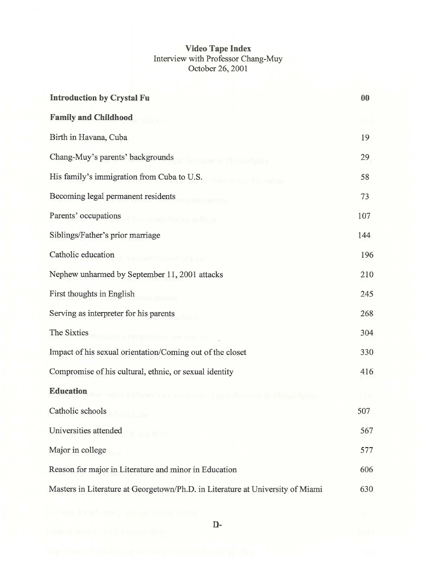## **Video Tape Index**  Interview with Professor Chang-Muy October 26, 2001

| <b>Introduction by Crystal Fu</b>                                              | 00  |
|--------------------------------------------------------------------------------|-----|
| <b>Family and Childhood</b>                                                    |     |
| Birth in Havana, Cuba                                                          | 19  |
| Chang-Muy's parents' backgrounds                                               | 29  |
| His family's immigration from Cuba to U.S.                                     | 58  |
| Becoming legal permanent residents                                             | 73  |
| Parents' occupations                                                           | 107 |
| Siblings/Father's prior marriage                                               | 144 |
| Catholic education                                                             | 196 |
| Nephew unharmed by September 11, 2001 attacks                                  | 210 |
| First thoughts in English                                                      | 245 |
| Serving as interpreter for his parents                                         | 268 |
| The Sixties                                                                    | 304 |
| Impact of his sexual orientation/Coming out of the closet                      | 330 |
| Compromise of his cultural, ethnic, or sexual identity                         | 416 |
| <b>Education</b>                                                               |     |
| Catholic schools                                                               | 507 |
| Universities attended                                                          | 567 |
| Major in college                                                               | 577 |
| Reason for major in Literature and minor in Education                          | 606 |
| Masters in Literature at Georgetown/Ph.D. in Literature at University of Miami | 630 |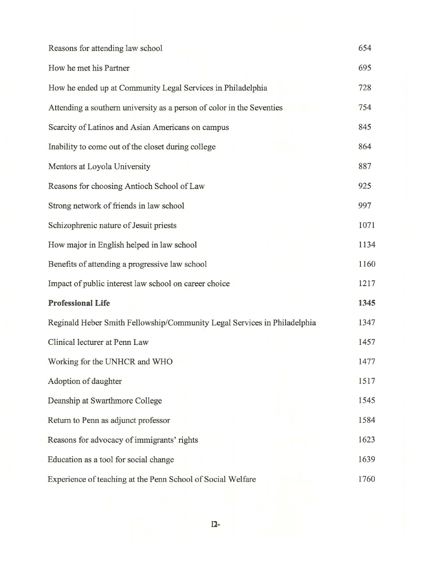| Reasons for attending law school                                         | 654  |
|--------------------------------------------------------------------------|------|
| How he met his Partner                                                   | 695  |
| How he ended up at Community Legal Services in Philadelphia              | 728  |
| Attending a southern university as a person of color in the Seventies    | 754  |
| Scarcity of Latinos and Asian Americans on campus                        | 845  |
| Inability to come out of the closet during college                       | 864  |
| Mentors at Loyola University                                             | 887  |
| Reasons for choosing Antioch School of Law                               | 925  |
| Strong network of friends in law school                                  | 997  |
| Schizophrenic nature of Jesuit priests                                   | 1071 |
| How major in English helped in law school                                | 1134 |
| Benefits of attending a progressive law school                           | 1160 |
| Impact of public interest law school on career choice                    | 1217 |
| <b>Professional Life</b>                                                 | 1345 |
| Reginald Heber Smith Fellowship/Community Legal Services in Philadelphia | 1347 |
| Clinical lecturer at Penn Law                                            | 1457 |
| Working for the UNHCR and WHO                                            | 1477 |
| Adoption of daughter                                                     | 1517 |
| Deanship at Swarthmore College                                           | 1545 |
| Return to Penn as adjunct professor                                      | 1584 |
| Reasons for advocacy of immigrants' rights                               | 1623 |
| Education as a tool for social change                                    | 1639 |
| Experience of teaching at the Penn School of Social Welfare              | 1760 |